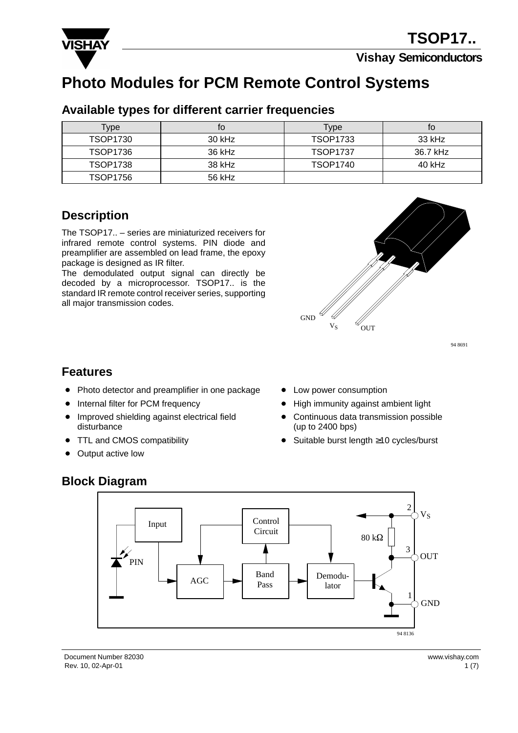

**Vishay Semiconductors**

# **Photo Modules for PCM Remote Control Systems**

| Type            | tΟ       | Type            | tΟ       |
|-----------------|----------|-----------------|----------|
| TSOP1730        | $30$ kHz | TSOP1733        | 33 kHz   |
| TSOP1736        | 36 kHz   | <b>TSOP1737</b> | 36.7 kHz |
| <b>TSOP1738</b> | 38 kHz   | <b>TSOP1740</b> | 40 kHz   |
| TSOP1756        | 56 kHz   |                 |          |

#### **Available types for different carrier frequencies**

#### **Description**

The TSOP17.. – series are miniaturized receivers for infrared remote control systems. PIN diode and preamplifier are assembled on lead frame, the epoxy package is designed as IR filter.

The demodulated output signal can directly be decoded by a microprocessor. TSOP17.. is the standard IR remote control receiver series, supporting all major transmission codes.



94 8691

#### **Features**

- Photo detector and preamplifier in one package
- $\bullet$ Internal filter for PCM frequency
- **Improved shielding against electrical field** disturbance
- $\bullet$ TTL and CMOS compatibility
- $\bullet$ Output active low
- Low power consumption
- High immunity against ambient light
- Continuous data transmission possible (up to 2400 bps)
- Suitable burst length ≥10 cycles/burst

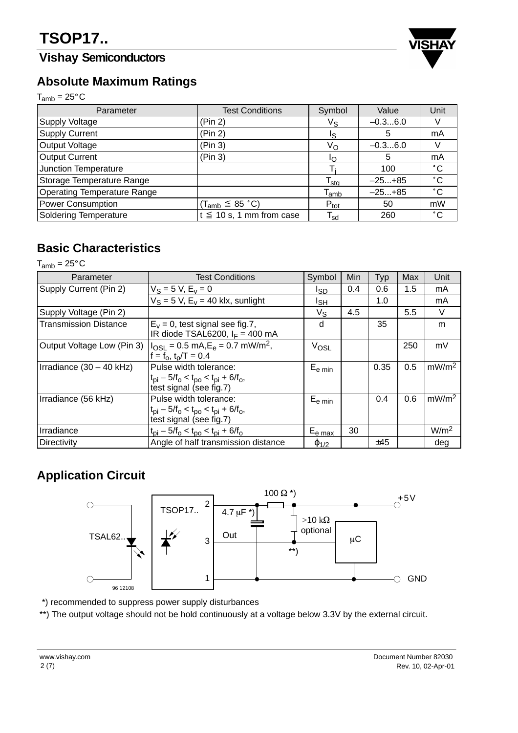## **Vishay Semiconductors**



#### **Absolute Maximum Ratings**

 $T_{amb} = 25^{\circ}C$ 

| . <i>.</i>                         |                               |                             |           |              |  |  |
|------------------------------------|-------------------------------|-----------------------------|-----------|--------------|--|--|
| Parameter                          | <b>Test Conditions</b>        | Symbol                      | Value     | Unit         |  |  |
| <b>Supply Voltage</b>              | (Pin 2)                       | $V_{\text{S}}$              | $-0.36.0$ |              |  |  |
| Supply Current                     | (Pin 2)                       | Is                          | 5         | mA           |  |  |
| Output Voltage                     | (Pin 3)                       | Vo                          | $-0.36.0$ |              |  |  |
| <b>Output Current</b>              | (Pin 3)                       | חו                          | 5         | mA           |  |  |
| Junction Temperature               |                               |                             | 100       | $^{\circ}$ C |  |  |
| Storage Temperature Range          |                               | $T_{\text{stq}}$            | $-25+85$  | $^{\circ}$ C |  |  |
| <b>Operating Temperature Range</b> |                               | $\mathsf{T}_{\mathsf{amb}}$ | $-25+85$  | $^{\circ}$ C |  |  |
| <b>Power Consumption</b>           | $(T_{amb} \leq 85 \degree C)$ | $P_{\text{tot}}$            | 50        | mW           |  |  |
| <b>Soldering Temperature</b>       | $t \leq 10$ s, 1 mm from case | $\mathsf{T_{sd}}$           | 260       | $^{\circ}$ C |  |  |

### **Basic Characteristics**

 $T_{amb} = 25^{\circ}$ C

| Parameter                    | <b>Test Conditions</b>                                                                                                    | Symbol                                   | Min | Typ  | Max | Unit              |
|------------------------------|---------------------------------------------------------------------------------------------------------------------------|------------------------------------------|-----|------|-----|-------------------|
| Supply Current (Pin 2)       | $V_S = 5 V, E_V = 0$                                                                                                      | Isp                                      | 0.4 | 0.6  | 1.5 | mA                |
|                              | $V_S = 5$ V, $E_V = 40$ klx, sunlight                                                                                     | Isн                                      |     | 1.0  |     | mA                |
| Supply Voltage (Pin 2)       |                                                                                                                           | $V_{\rm S}$                              | 4.5 |      | 5.5 | V                 |
| <b>Transmission Distance</b> | $E_v = 0$ , test signal see fig.7,<br>IR diode TSAL6200, $I_F = 400$ mA                                                   | d                                        |     | 35   |     | m                 |
| Output Voltage Low (Pin 3)   | $I_{OSI} = 0.5$ mA, $E_e = 0.7$ mW/m <sup>2</sup> ,<br>$f = f_0, t_p/T = 0.4$                                             | $V_{OSL}$                                |     |      | 250 | mV                |
| Irradiance $(30 - 40$ kHz)   | Pulse width tolerance:<br>$t_{\rm pi} - 5/f_{\rm o} < t_{\rm po} < t_{\rm pi} + 6/f_{\rm o}$ ,<br>test signal (see fig.7) | $E_{e \text{ min}}$                      |     | 0.35 | 0.5 | mW/m <sup>2</sup> |
| Irradiance (56 kHz)          | Pulse width tolerance:<br>$t_{\rm pi} - 5/f_{\rm o} < t_{\rm po} < t_{\rm pi} + 6/f_{\rm o}$ ,<br>test signal (see fig.7) | $\mathsf{E}_{\mathsf{e}\, \mathsf{min}}$ |     | 0.4  | 0.6 | mW/m <sup>2</sup> |
| Irradiance                   | $t_{\rm pi}$ – 5/f <sub>o</sub> < $t_{\rm po}$ < $t_{\rm pi}$ + 6/f <sub>o</sub>                                          | E <sub>e max</sub>                       | 30  |      |     | W/m <sup>2</sup>  |
| Directivity                  | Angle of half transmission distance                                                                                       | $\varphi_{1/2}$                          |     | ±45  |     | deg               |

### **Application Circuit**



\*) recommended to suppress power supply disturbances

\*\*) The output voltage should not be hold continuously at a voltage below 3.3V by the external circuit.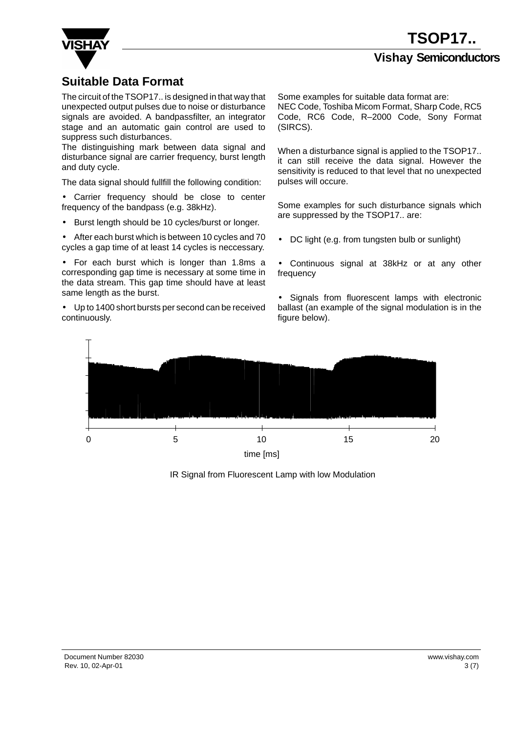

#### **Suitable Data Format**

The circuit of the TSOP17.. is designed in that way that unexpected output pulses due to noise or disturbance signals are avoided. A bandpassfilter, an integrator stage and an automatic gain control are used to suppress such disturbances.

The distinguishing mark between data signal and disturbance signal are carrier frequency, burst length and duty cycle.

The data signal should fullfill the following condition:

• Carrier frequency should be close to center frequency of the bandpass (e.g. 38kHz).

• Burst length should be 10 cycles/burst or longer.

• After each burst which is between 10 cycles and 70 cycles a gap time of at least 14 cycles is neccessary.

• For each burst which is longer than 1.8ms a corresponding gap time is necessary at some time in the data stream. This gap time should have at least same length as the burst.

• Up to 1400 short bursts per second can be received continuously.

Some examples for suitable data format are: NEC Code, Toshiba Micom Format, Sharp Code, RC5 Code, RC6 Code, R–2000 Code, Sony Format (SIRCS).

When a disturbance signal is applied to the TSOP17.. it can still receive the data signal. However the sensitivity is reduced to that level that no unexpected pulses will occure.

Some examples for such disturbance signals which are suppressed by the TSOP17.. are:

• DC light (e.g. from tungsten bulb or sunlight)

• Continuous signal at 38kHz or at any other frequency

• Signals from fluorescent lamps with electronic ballast (an example of the signal modulation is in the figure below).



IR Signal from Fluorescent Lamp with low Modulation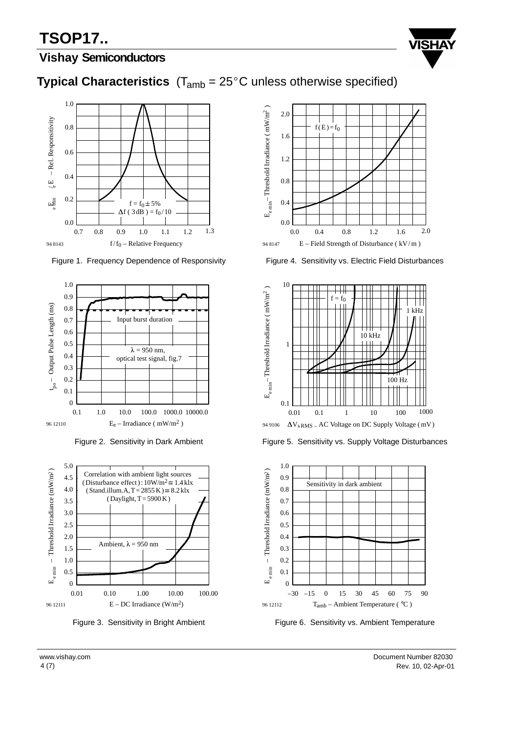# **TSOP17..**



#### **Vishay Semiconductors**





Figure 1. Frequency Dependence of Responsivity



Figure 2. Sensitivity in Dark Ambient



Figure 3. Sensitivity in Bright Ambient



Figure 4. Sensitivity vs. Electric Field Disturbances



Figure 5. Sensitivity vs. Supply Voltage Disturbances



Figure 6. Sensitivity vs. Ambient Temperature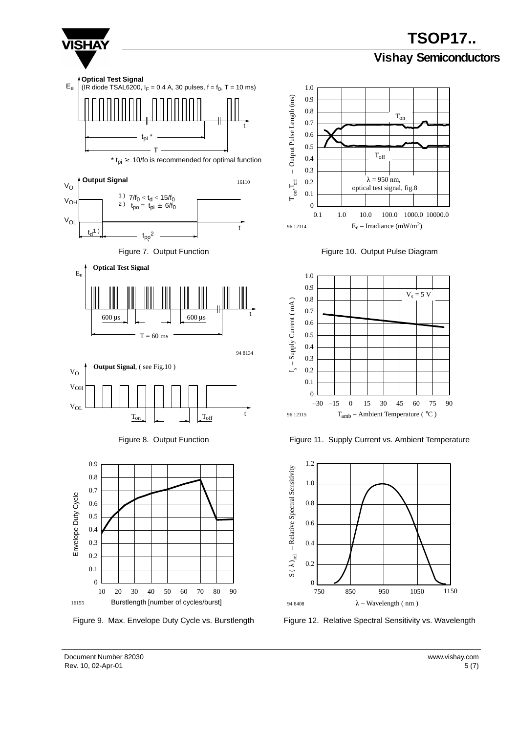

**TSOP17.. Vishay Semiconductors**

Rev. 10, 02-Apr-01 5 (7) Document Number 82030 www.vishay.com

1150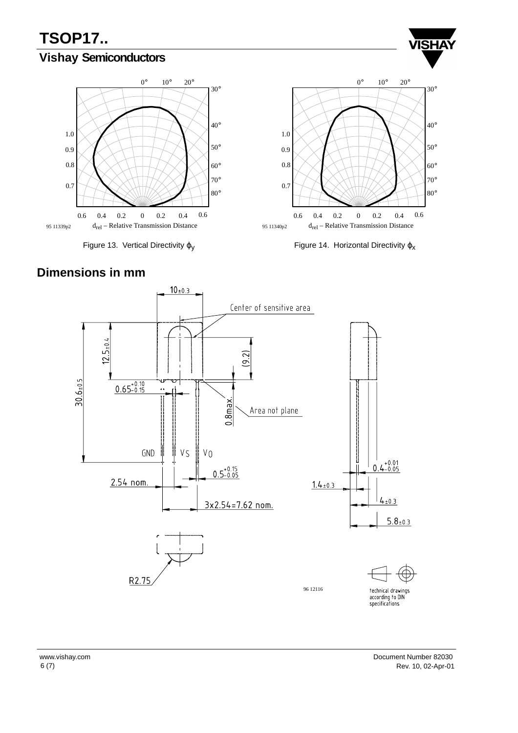## **Vishay Semiconductors**



Figure 13. Vertical Directivity  $\varphi_V$ 



**VISHA** 



#### **Dimensions in mm**